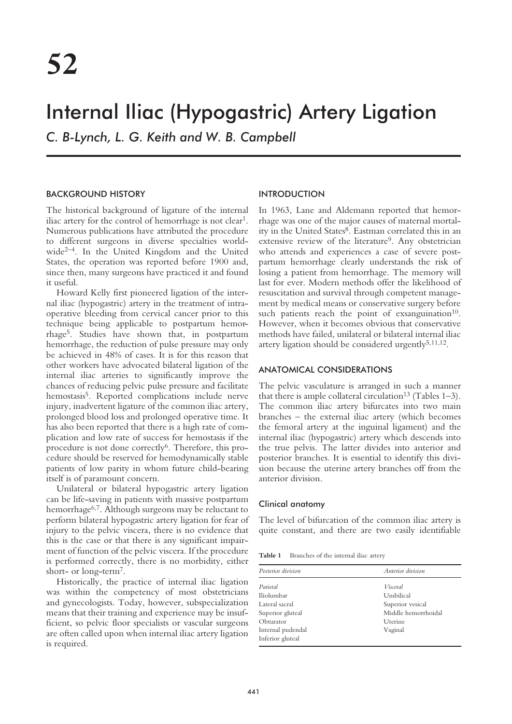# Internal Iliac (Hypogastric) Artery Ligation

*C. B-Lynch, L. G. Keith and W. B. Campbell*

## BACKGROUND HISTORY

The historical background of ligature of the internal iliac artery for the control of hemorrhage is not clear<sup>1</sup>. Numerous publications have attributed the procedure to different surgeons in diverse specialties worldwide2–4. In the United Kingdom and the United States, the operation was reported before 1900 and, since then, many surgeons have practiced it and found it useful.

Howard Kelly first pioneered ligation of the internal iliac (hypogastric) artery in the treatment of intraoperative bleeding from cervical cancer prior to this technique being applicable to postpartum hemorrhage5. Studies have shown that, in postpartum hemorrhage, the reduction of pulse pressure may only be achieved in 48% of cases. It is for this reason that other workers have advocated bilateral ligation of the internal iliac arteries to significantly improve the chances of reducing pelvic pulse pressure and facilitate hemostasis<sup>5</sup>. Reported complications include nerve injury, inadvertent ligature of the common iliac artery, prolonged blood loss and prolonged operative time. It has also been reported that there is a high rate of complication and low rate of success for hemostasis if the procedure is not done correctly6. Therefore, this procedure should be reserved for hemodynamically stable patients of low parity in whom future child-bearing itself is of paramount concern.

Unilateral or bilateral hypogastric artery ligation can be life-saving in patients with massive postpartum hemorrhage<sup>6,7</sup>. Although surgeons may be reluctant to perform bilateral hypogastric artery ligation for fear of injury to the pelvic viscera, there is no evidence that this is the case or that there is any significant impairment of function of the pelvic viscera. If the procedure is performed correctly, there is no morbidity, either short- or long-term7.

Historically, the practice of internal iliac ligation was within the competency of most obstetricians and gynecologists. Today, however, subspecialization means that their training and experience may be insufficient, so pelvic floor specialists or vascular surgeons are often called upon when internal iliac artery ligation is required.

## **INTRODUCTION**

In 1963, Lane and Aldemann reported that hemorrhage was one of the major causes of maternal mortality in the United States<sup>8</sup>. Eastman correlated this in an extensive review of the literature<sup>9</sup>. Any obstetrician who attends and experiences a case of severe postpartum hemorrhage clearly understands the risk of losing a patient from hemorrhage. The memory will last for ever. Modern methods offer the likelihood of resuscitation and survival through competent management by medical means or conservative surgery before such patients reach the point of exsanguination $10$ . However, when it becomes obvious that conservative methods have failed, unilateral or bilateral internal iliac artery ligation should be considered urgently5,11,12.

#### ANATOMICAL CONSIDERATIONS

The pelvic vasculature is arranged in such a manner that there is ample collateral circulation<sup>13</sup> (Tables 1–3). The common iliac artery bifurcates into two main branches – the external iliac artery (which becomes the femoral artery at the inguinal ligament) and the internal iliac (hypogastric) artery which descends into the true pelvis. The latter divides into anterior and posterior branches. It is essential to identify this division because the uterine artery branches off from the anterior division.

## Clinical anatomy

The level of bifurcation of the common iliac artery is quite constant, and there are two easily identifiable

**Table 1** Branches of the internal iliac artery

| Posterior division | Anterior division   |
|--------------------|---------------------|
| Parietal           | Visceral            |
| Iliolumbar         | Umbilical           |
| Lateral sacral     | Superior vesical    |
| Superior gluteal   | Middle hemorrhoidal |
| Obturator          | Uterine             |
| Internal pudendal  | Vaginal             |
| Inferior gluteal   |                     |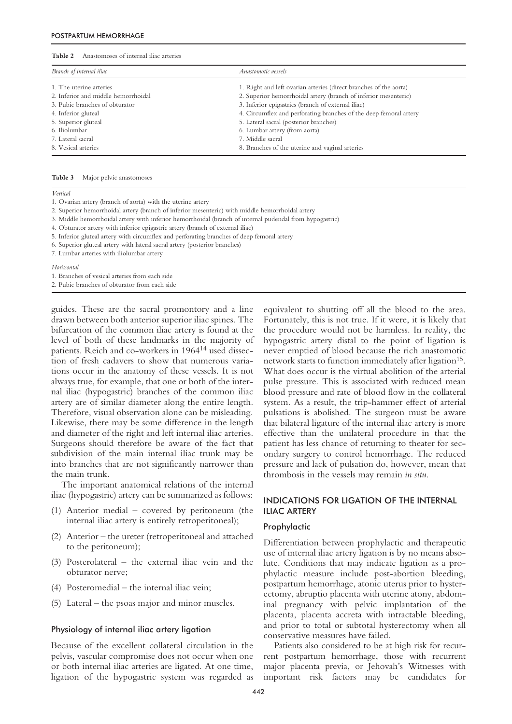#### **Table 2** Anastomoses of internal iliac arteries

| Branch of internal iliac            | Anastomotic vessels                                               |
|-------------------------------------|-------------------------------------------------------------------|
| 1. The uterine arteries             | 1. Right and left ovarian arteries (direct branches of the aorta) |
| 2. Inferior and middle hemorrhoidal | 2. Superior hemorrhoidal artery (branch of inferior mesenteric)   |
| 3. Pubic branches of obturator      | 3. Inferior epigastrics (branch of external iliac)                |
| 4. Inferior gluteal                 | 4. Circumflex and perforating branches of the deep femoral artery |
| 5. Superior gluteal                 | 5. Lateral sacral (posterior branches)                            |
| 6. Iliolumbar                       | 6. Lumbar artery (from aorta)                                     |
| 7. Lateral sacral                   | 7. Middle sacral                                                  |
| 8. Vesical arteries                 | 8. Branches of the uterine and vaginal arteries                   |

#### **Table 3** Major pelvic anastomoses

*Vertical*

- 1. Ovarian artery (branch of aorta) with the uterine artery
- 2. Superior hemorrhoidal artery (branch of inferior mesenteric) with middle hemorrhoidal artery
- 3. Middle hemorrhoidal artery with inferior hemorrhoidal (branch of internal pudendal from hypogastric)
- 4. Obturator artery with inferior epigastric artery (branch of external iliac)
- 5. Inferior gluteal artery with circumflex and perforating branches of deep femoral artery
- 6. Superior gluteal artery with lateral sacral artery (posterior branches)
- 7. Lumbar arteries with iliolumbar artery

*Horizontal*

- 1. Branches of vesical arteries from each side
- 2. Pubic branches of obturator from each side

guides. These are the sacral promontory and a line drawn between both anterior superior iliac spines. The bifurcation of the common iliac artery is found at the level of both of these landmarks in the majority of patients. Reich and co-workers in 196414 used dissection of fresh cadavers to show that numerous variations occur in the anatomy of these vessels. It is not always true, for example, that one or both of the internal iliac (hypogastric) branches of the common iliac artery are of similar diameter along the entire length. Therefore, visual observation alone can be misleading. Likewise, there may be some difference in the length and diameter of the right and left internal iliac arteries. Surgeons should therefore be aware of the fact that subdivision of the main internal iliac trunk may be into branches that are not significantly narrower than the main trunk.

The important anatomical relations of the internal iliac (hypogastric) artery can be summarized as follows:

- (1) Anterior medial covered by peritoneum (the internal iliac artery is entirely retroperitoneal);
- (2) Anterior the ureter (retroperitoneal and attached to the peritoneum);
- (3) Posterolateral the external iliac vein and the obturator nerve;
- (4) Posteromedial the internal iliac vein;
- (5) Lateral the psoas major and minor muscles.

#### Physiology of internal iliac artery ligation

Because of the excellent collateral circulation in the pelvis, vascular compromise does not occur when one or both internal iliac arteries are ligated. At one time, ligation of the hypogastric system was regarded as equivalent to shutting off all the blood to the area. Fortunately, this is not true. If it were, it is likely that the procedure would not be harmless. In reality, the hypogastric artery distal to the point of ligation is never emptied of blood because the rich anastomotic network starts to function immediately after ligation<sup>15</sup>. What does occur is the virtual abolition of the arterial pulse pressure. This is associated with reduced mean blood pressure and rate of blood flow in the collateral system. As a result, the trip-hammer effect of arterial pulsations is abolished. The surgeon must be aware that bilateral ligature of the internal iliac artery is more effective than the unilateral procedure in that the patient has less chance of returning to theater for secondary surgery to control hemorrhage. The reduced pressure and lack of pulsation do, however, mean that thrombosis in the vessels may remain *in situ*.

## INDICATIONS FOR LIGATION OF THE INTERNAL ILIAC ARTERY

#### Prophylactic

Differentiation between prophylactic and therapeutic use of internal iliac artery ligation is by no means absolute. Conditions that may indicate ligation as a prophylactic measure include post-abortion bleeding, postpartum hemorrhage, atonic uterus prior to hysterectomy, abruptio placenta with uterine atony, abdominal pregnancy with pelvic implantation of the placenta, placenta accreta with intractable bleeding, and prior to total or subtotal hysterectomy when all conservative measures have failed.

Patients also considered to be at high risk for recurrent postpartum hemorrhage, those with recurrent major placenta previa, or Jehovah's Witnesses with important risk factors may be candidates for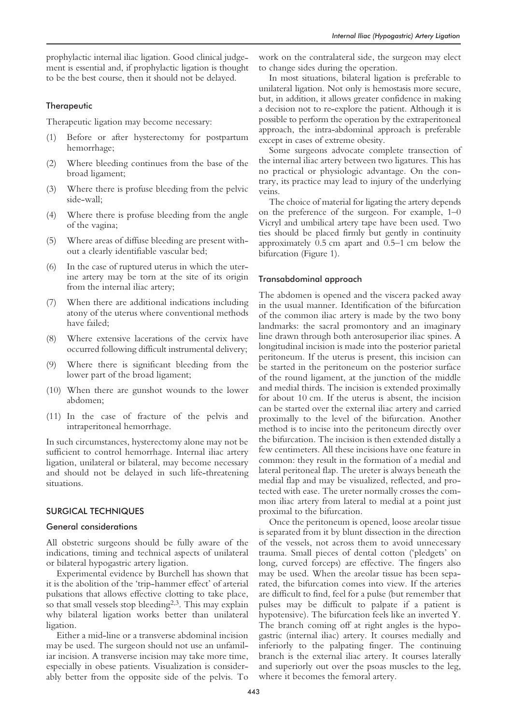prophylactic internal iliac ligation. Good clinical judgement is essential and, if prophylactic ligation is thought to be the best course, then it should not be delayed.

## **Therapeutic**

Therapeutic ligation may become necessary:

- (1) Before or after hysterectomy for postpartum hemorrhage;
- (2) Where bleeding continues from the base of the broad ligament;
- (3) Where there is profuse bleeding from the pelvic side-wall;
- (4) Where there is profuse bleeding from the angle of the vagina;
- (5) Where areas of diffuse bleeding are present without a clearly identifiable vascular bed;
- (6) In the case of ruptured uterus in which the uterine artery may be torn at the site of its origin from the internal iliac artery;
- (7) When there are additional indications including atony of the uterus where conventional methods have failed;
- (8) Where extensive lacerations of the cervix have occurred following difficult instrumental delivery;
- (9) Where there is significant bleeding from the lower part of the broad ligament;
- (10) When there are gunshot wounds to the lower abdomen;
- (11) In the case of fracture of the pelvis and intraperitoneal hemorrhage.

In such circumstances, hysterectomy alone may not be sufficient to control hemorrhage. Internal iliac artery ligation, unilateral or bilateral, may become necessary and should not be delayed in such life-threatening situations.

## SURGICAL TECHNIQUES

## General considerations

All obstetric surgeons should be fully aware of the indications, timing and technical aspects of unilateral or bilateral hypogastric artery ligation.

Experimental evidence by Burchell has shown that it is the abolition of the 'trip-hammer effect' of arterial pulsations that allows effective clotting to take place, so that small vessels stop bleeding<sup>2,3</sup>. This may explain why bilateral ligation works better than unilateral ligation.

Either a mid-line or a transverse abdominal incision may be used. The surgeon should not use an unfamiliar incision. A transverse incision may take more time, especially in obese patients. Visualization is considerably better from the opposite side of the pelvis. To

work on the contralateral side, the surgeon may elect to change sides during the operation.

In most situations, bilateral ligation is preferable to unilateral ligation. Not only is hemostasis more secure, but, in addition, it allows greater confidence in making a decision not to re-explore the patient. Although it is possible to perform the operation by the extraperitoneal approach, the intra-abdominal approach is preferable except in cases of extreme obesity.

Some surgeons advocate complete transection of the internal iliac artery between two ligatures. This has no practical or physiologic advantage. On the contrary, its practice may lead to injury of the underlying veins.

The choice of material for ligating the artery depends on the preference of the surgeon. For example, 1–0 Vicryl and umbilical artery tape have been used. Two ties should be placed firmly but gently in continuity approximately 0.5 cm apart and 0.5–1 cm below the bifurcation (Figure 1).

## Transabdominal approach

The abdomen is opened and the viscera packed away in the usual manner. Identification of the bifurcation of the common iliac artery is made by the two bony landmarks: the sacral promontory and an imaginary line drawn through both anterosuperior iliac spines. A longitudinal incision is made into the posterior parietal peritoneum. If the uterus is present, this incision can be started in the peritoneum on the posterior surface of the round ligament, at the junction of the middle and medial thirds. The incision is extended proximally for about 10 cm. If the uterus is absent, the incision can be started over the external iliac artery and carried proximally to the level of the bifurcation. Another method is to incise into the peritoneum directly over the bifurcation. The incision is then extended distally a few centimeters. All these incisions have one feature in common: they result in the formation of a medial and lateral peritoneal flap. The ureter is always beneath the medial flap and may be visualized, reflected, and protected with ease. The ureter normally crosses the common iliac artery from lateral to medial at a point just proximal to the bifurcation.

Once the peritoneum is opened, loose areolar tissue is separated from it by blunt dissection in the direction of the vessels, not across them to avoid unnecessary trauma. Small pieces of dental cotton ('pledgets' on long, curved forceps) are effective. The fingers also may be used. When the areolar tissue has been separated, the bifurcation comes into view. If the arteries are difficult to find, feel for a pulse (but remember that pulses may be difficult to palpate if a patient is hypotensive). The bifurcation feels like an inverted Y. The branch coming off at right angles is the hypogastric (internal iliac) artery. It courses medially and inferiorly to the palpating finger. The continuing branch is the external iliac artery. It courses laterally and superiorly out over the psoas muscles to the leg, where it becomes the femoral artery.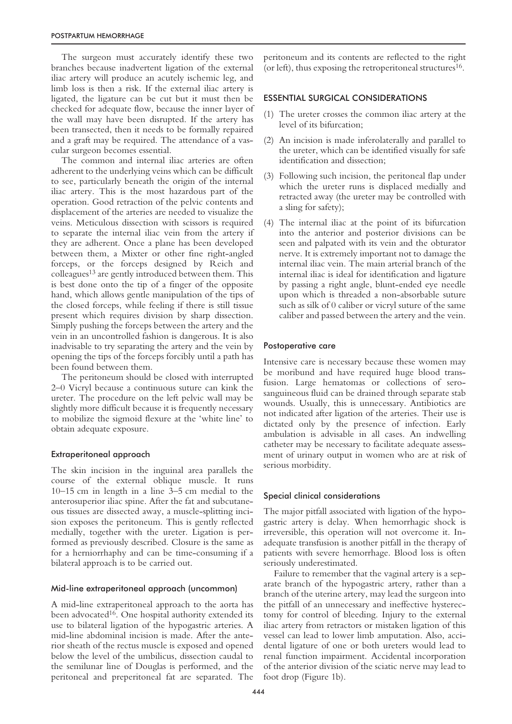The surgeon must accurately identify these two branches because inadvertent ligation of the external iliac artery will produce an acutely ischemic leg, and limb loss is then a risk. If the external iliac artery is ligated, the ligature can be cut but it must then be checked for adequate flow, because the inner layer of the wall may have been disrupted. If the artery has been transected, then it needs to be formally repaired and a graft may be required. The attendance of a vascular surgeon becomes essential.

The common and internal iliac arteries are often adherent to the underlying veins which can be difficult to see, particularly beneath the origin of the internal iliac artery. This is the most hazardous part of the operation. Good retraction of the pelvic contents and displacement of the arteries are needed to visualize the veins. Meticulous dissection with scissors is required to separate the internal iliac vein from the artery if they are adherent. Once a plane has been developed between them, a Mixter or other fine right-angled forceps, or the forceps designed by Reich and colleagues13 are gently introduced between them. This is best done onto the tip of a finger of the opposite hand, which allows gentle manipulation of the tips of the closed forceps, while feeling if there is still tissue present which requires division by sharp dissection. Simply pushing the forceps between the artery and the vein in an uncontrolled fashion is dangerous. It is also inadvisable to try separating the artery and the vein by opening the tips of the forceps forcibly until a path has been found between them.

The peritoneum should be closed with interrupted 2–0 Vicryl because a continuous suture can kink the ureter. The procedure on the left pelvic wall may be slightly more difficult because it is frequently necessary to mobilize the sigmoid flexure at the 'white line' to obtain adequate exposure.

## Extraperitoneal approach

The skin incision in the inguinal area parallels the course of the external oblique muscle. It runs 10–15 cm in length in a line 3–5 cm medial to the anterosuperior iliac spine. After the fat and subcutaneous tissues are dissected away, a muscle-splitting incision exposes the peritoneum. This is gently reflected medially, together with the ureter. Ligation is performed as previously described. Closure is the same as for a herniorrhaphy and can be time-consuming if a bilateral approach is to be carried out.

#### Mid-line extraperitoneal approach (uncommon)

A mid-line extraperitoneal approach to the aorta has been advocated<sup>16</sup>. One hospital authority extended its use to bilateral ligation of the hypogastric arteries. A mid-line abdominal incision is made. After the anterior sheath of the rectus muscle is exposed and opened below the level of the umbilicus, dissection caudal to the semilunar line of Douglas is performed, and the peritoneal and preperitoneal fat are separated. The peritoneum and its contents are reflected to the right (or left), thus exposing the retroperitoneal structures<sup>16</sup>.

#### ESSENTIAL SURGICAL CONSIDERATIONS

- (1) The ureter crosses the common iliac artery at the level of its bifurcation;
- (2) An incision is made inferolaterally and parallel to the ureter, which can be identified visually for safe identification and dissection;
- (3) Following such incision, the peritoneal flap under which the ureter runs is displaced medially and retracted away (the ureter may be controlled with a sling for safety);
- (4) The internal iliac at the point of its bifurcation into the anterior and posterior divisions can be seen and palpated with its vein and the obturator nerve. It is extremely important not to damage the internal iliac vein. The main arterial branch of the internal iliac is ideal for identification and ligature by passing a right angle, blunt-ended eye needle upon which is threaded a non-absorbable suture such as silk of 0 caliber or vicryl suture of the same caliber and passed between the artery and the vein.

#### Postoperative care

Intensive care is necessary because these women may be moribund and have required huge blood transfusion. Large hematomas or collections of serosanguineous fluid can be drained through separate stab wounds. Usually, this is unnecessary. Antibiotics are not indicated after ligation of the arteries. Their use is dictated only by the presence of infection. Early ambulation is advisable in all cases. An indwelling catheter may be necessary to facilitate adequate assessment of urinary output in women who are at risk of serious morbidity.

### Special clinical considerations

The major pitfall associated with ligation of the hypogastric artery is delay. When hemorrhagic shock is irreversible, this operation will not overcome it. Inadequate transfusion is another pitfall in the therapy of patients with severe hemorrhage. Blood loss is often seriously underestimated.

Failure to remember that the vaginal artery is a separate branch of the hypogastric artery, rather than a branch of the uterine artery, may lead the surgeon into the pitfall of an unnecessary and ineffective hysterectomy for control of bleeding. Injury to the external iliac artery from retractors or mistaken ligation of this vessel can lead to lower limb amputation. Also, accidental ligature of one or both ureters would lead to renal function impairment. Accidental incorporation of the anterior division of the sciatic nerve may lead to foot drop (Figure 1b).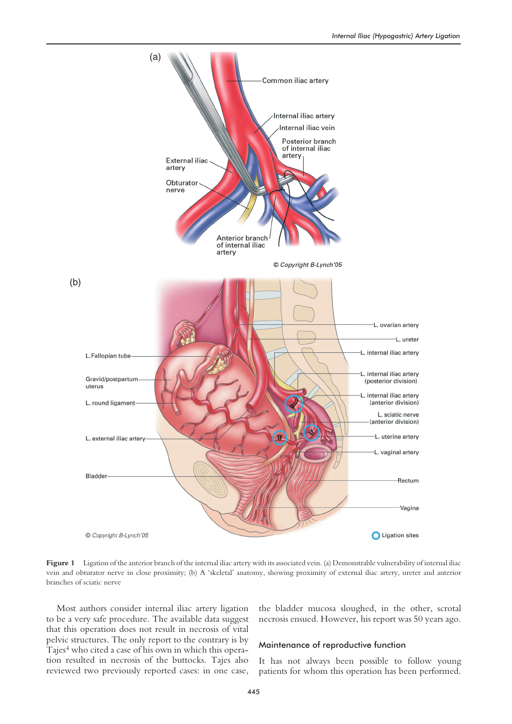

Figure 1 Ligation of the anterior branch of the internal iliac artery with its associated vein. (a) Demonstrable vulnerability of internal iliac vein and obturator nerve in close proximity; (b) A 'skeletal' anatomy, showing proximity of external iliac artery, ureter and anterior branches of sciatic nerve

Most authors consider internal iliac artery ligation to be a very safe procedure. The available data suggest that this operation does not result in necrosis of vital pelvic structures. The only report to the contrary is by Tajes<sup>4</sup> who cited a case of his own in which this operation resulted in necrosis of the buttocks. Tajes also reviewed two previously reported cases: in one case, the bladder mucosa sloughed, in the other, scrotal necrosis ensued. However, his report was 50 years ago.

### Maintenance of reproductive function

It has not always been possible to follow young patients for whom this operation has been performed.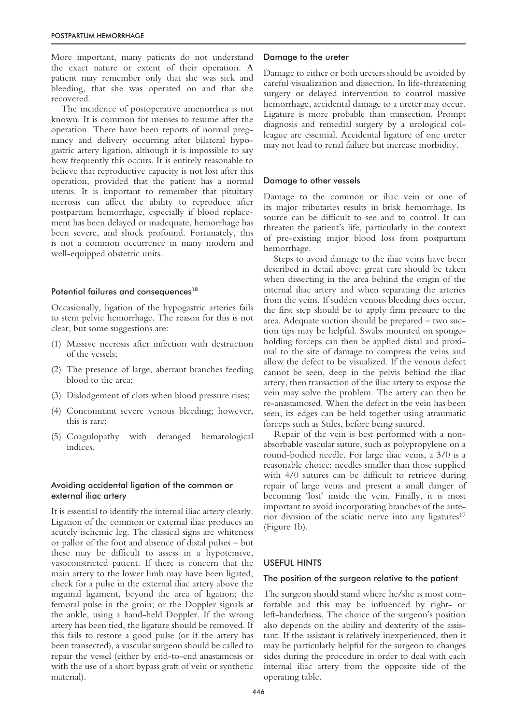More important, many patients do not understand the exact nature or extent of their operation. A patient may remember only that she was sick and bleeding, that she was operated on and that she recovered.

The incidence of postoperative amenorrhea is not known. It is common for menses to resume after the operation. There have been reports of normal pregnancy and delivery occurring after bilateral hypogastric artery ligation, although it is impossible to say how frequently this occurs. It is entirely reasonable to believe that reproductive capacity is not lost after this operation, provided that the patient has a normal uterus. It is important to remember that pituitary necrosis can affect the ability to reproduce after postpartum hemorrhage, especially if blood replacement has been delayed or inadequate, hemorrhage has been severe, and shock profound. Fortunately, this is not a common occurrence in many modern and well-equipped obstetric units.

#### Potential failures and consequences<sup>18</sup>

Occasionally, ligation of the hypogastric arteries fails to stem pelvic hemorrhage. The reason for this is not clear, but some suggestions are:

- (1) Massive necrosis after infection with destruction of the vessels;
- (2) The presence of large, aberrant branches feeding blood to the area;
- (3) Dislodgement of clots when blood pressure rises;
- (4) Concomitant severe venous bleeding; however, this is rare;
- (5) Coagulopathy with deranged hematological indices.

## Avoiding accidental ligation of the common or external iliac artery

It is essential to identify the internal iliac artery clearly. Ligation of the common or external iliac produces an acutely ischemic leg. The classical signs are whiteness or pallor of the foot and absence of distal pulses – but these may be difficult to assess in a hypotensive, vasoconstricted patient. If there is concern that the main artery to the lower limb may have been ligated, check for a pulse in the external iliac artery above the inguinal ligament, beyond the area of ligation; the femoral pulse in the groin; or the Doppler signals at the ankle, using a hand-held Doppler. If the wrong artery has been tied, the ligature should be removed. If this fails to restore a good pulse (or if the artery has been transected), a vascular surgeon should be called to repair the vessel (either by end-to-end anastamosis or with the use of a short bypass graft of vein or synthetic material).

#### Damage to the ureter

Damage to either or both ureters should be avoided by careful visualization and dissection. In life-threatening surgery or delayed intervention to control massive hemorrhage, accidental damage to a ureter may occur. Ligature is more probable than transection. Prompt diagnosis and remedial surgery by a urological colleague are essential. Accidental ligature of one ureter may not lead to renal failure but increase morbidity.

#### Damage to other vessels

Damage to the common or iliac vein or one of its major tributaries results in brisk hemorrhage. Its source can be difficult to see and to control. It can threaten the patient's life, particularly in the context of pre-existing major blood loss from postpartum hemorrhage.

Steps to avoid damage to the iliac veins have been described in detail above: great care should be taken when dissecting in the area behind the origin of the internal iliac artery and when separating the arteries from the veins. If sudden venous bleeding does occur, the first step should be to apply firm pressure to the area. Adequate suction should be prepared – two suction tips may be helpful. Swabs mounted on spongeholding forceps can then be applied distal and proximal to the site of damage to compress the veins and allow the defect to be visualized. If the venous defect cannot be seen, deep in the pelvis behind the iliac artery, then transaction of the iliac artery to expose the vein may solve the problem. The artery can then be re-anastamosed. When the defect in the vein has been seen, its edges can be held together using atraumatic forceps such as Stiles, before being sutured.

Repair of the vein is best performed with a nonabsorbable vascular suture, such as polypropylene on a round-bodied needle. For large iliac veins, a 3/0 is a reasonable choice: needles smaller than those supplied with 4/0 sutures can be difficult to retrieve during repair of large veins and present a small danger of becoming 'lost' inside the vein. Finally, it is most important to avoid incorporating branches of the anterior division of the sciatic nerve into any ligatures $17$ (Figure 1b).

## USEFUL HINTS

#### The position of the surgeon relative to the patient

The surgeon should stand where he/she is most comfortable and this may be influenced by right- or left-handedness. The choice of the surgeon's position also depends on the ability and dexterity of the assistant. If the assistant is relatively inexperienced, then it may be particularly helpful for the surgeon to changes sides during the procedure in order to deal with each internal iliac artery from the opposite side of the operating table.